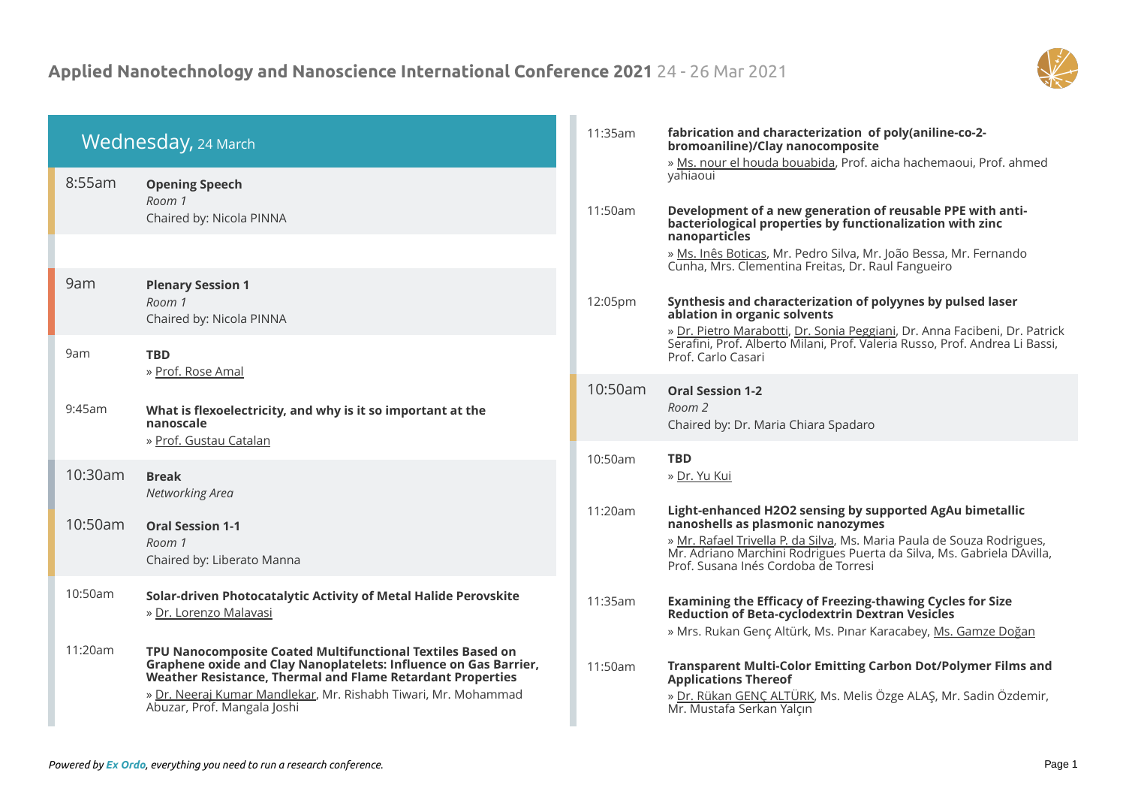

| Wednesday, 24 March |                                                                                                                                                                                                                                                                                               | 11:35am | fabrication and characterization of poly(aniline-co-2-<br>bromoaniline)/Clay nanocomposite<br>» Ms. nour el houda bouabida, Prof. aicha hachemaoui, Prof. ahmed                                                                                                                          |
|---------------------|-----------------------------------------------------------------------------------------------------------------------------------------------------------------------------------------------------------------------------------------------------------------------------------------------|---------|------------------------------------------------------------------------------------------------------------------------------------------------------------------------------------------------------------------------------------------------------------------------------------------|
| 8:55am              | <b>Opening Speech</b><br>Room 1<br>Chaired by: Nicola PINNA                                                                                                                                                                                                                                   | 11:50am | yahiaoui<br>Development of a new generation of reusable PPE with anti-<br>bacteriological properties by functionalization with zinc                                                                                                                                                      |
|                     |                                                                                                                                                                                                                                                                                               |         | nanoparticles<br>» Ms. Inês Boticas, Mr. Pedro Silva, Mr. João Bessa, Mr. Fernando<br>Cunha, Mrs. Clementina Freitas, Dr. Raul Fangueiro                                                                                                                                                 |
| 9am                 | <b>Plenary Session 1</b><br>Room 1<br>Chaired by: Nicola PINNA                                                                                                                                                                                                                                | 12:05pm | Synthesis and characterization of polyynes by pulsed laser<br>ablation in organic solvents<br>» Dr. Pietro Marabotti, Dr. Sonia Peggiani, Dr. Anna Facibeni, Dr. Patrick                                                                                                                 |
| 9am                 | <b>TBD</b><br>» Prof. Rose Amal                                                                                                                                                                                                                                                               |         | Serafini, Prof. Alberto Milani, Prof. Valeria Russo, Prof. Andrea Li Bassi,<br>Prof. Carlo Casari                                                                                                                                                                                        |
| 9:45am              | What is flexoelectricity, and why is it so important at the<br>nanoscale<br>» Prof. Gustau Catalan                                                                                                                                                                                            | 10:50am | <b>Oral Session 1-2</b><br>Room 2<br>Chaired by: Dr. Maria Chiara Spadaro                                                                                                                                                                                                                |
| 10:30am             | <b>Break</b><br>Networking Area                                                                                                                                                                                                                                                               | 10:50am | <b>TBD</b><br>» Dr. Yu Kui                                                                                                                                                                                                                                                               |
| 10:50am             | <b>Oral Session 1-1</b><br>Room 1<br>Chaired by: Liberato Manna                                                                                                                                                                                                                               | 11:20am | Light-enhanced H2O2 sensing by supported AgAu bimetallic<br>nanoshells as plasmonic nanozymes<br>» Mr. Rafael Trivella P. da Silva, Ms. Maria Paula de Souza Rodrigues,<br>Mr. Adriano Marchini Rodrigues Puerta da Silva, Ms. Gabriela DAvilla,<br>Prof. Susana Inés Cordoba de Torresi |
| 10:50am             | Solar-driven Photocatalytic Activity of Metal Halide Perovskite<br>» Dr. Lorenzo Malavasi                                                                                                                                                                                                     | 11:35am | <b>Examining the Efficacy of Freezing-thawing Cycles for Size</b><br><b>Reduction of Beta-cyclodextrin Dextran Vesicles</b>                                                                                                                                                              |
| 11:20am             | TPU Nanocomposite Coated Multifunctional Textiles Based on<br>Graphene oxide and Clay Nanoplatelets: Influence on Gas Barrier,<br>Weather Resistance, Thermal and Flame Retardant Properties<br>» Dr. Neeraj Kumar Mandlekar, Mr. Rishabh Tiwari, Mr. Mohammad<br>Abuzar, Prof. Mangala Joshi | 11:50am | » Mrs. Rukan Genç Altürk, Ms. Pınar Karacabey, Ms. Gamze Doğan<br>Transparent Multi-Color Emitting Carbon Dot/Polymer Films and<br><b>Applications Thereof</b><br>» Dr. Rükan GENÇ ALTÜRK, Ms. Melis Özge ALAŞ, Mr. Sadin Özdemir,<br>Mr. Mustafa Serkan Yalçın                          |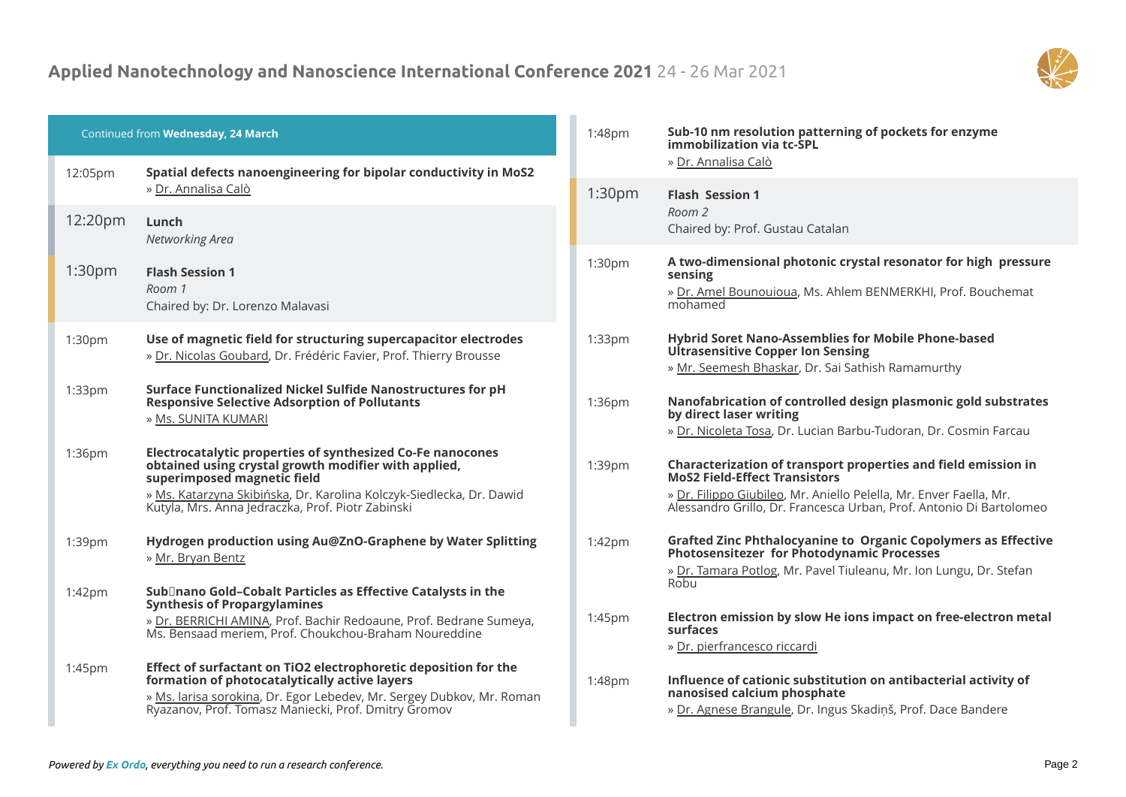

| Continued from Wednesday, 24 March |                                                                                                                                                                                                                                                                                | 1:48pm             | Sub-10 nm resolution patterning of pockets for enzyme<br>immobilization via tc-SPL                                                                                                                                                                  |
|------------------------------------|--------------------------------------------------------------------------------------------------------------------------------------------------------------------------------------------------------------------------------------------------------------------------------|--------------------|-----------------------------------------------------------------------------------------------------------------------------------------------------------------------------------------------------------------------------------------------------|
| 12:05pm                            | Spatial defects nanoengineering for bipolar conductivity in MoS2<br>» Dr. Annalisa Calò                                                                                                                                                                                        | 1:30 <sub>pm</sub> | » Dr. Annalisa Calò<br><b>Flash Session 1</b>                                                                                                                                                                                                       |
| 12:20pm                            | Lunch<br>Networking Area                                                                                                                                                                                                                                                       |                    | Room 2<br>Chaired by: Prof. Gustau Catalan                                                                                                                                                                                                          |
| 1:30 <sub>pm</sub>                 | <b>Flash Session 1</b><br>Room 1<br>Chaired by: Dr. Lorenzo Malavasi                                                                                                                                                                                                           | 1:30pm             | A two-dimensional photonic crystal resonator for high pressure<br>sensing<br>» Dr. Amel Bounouioua, Ms. Ahlem BENMERKHI, Prof. Bouchemat<br>mohamed                                                                                                 |
| 1:30 <sub>pm</sub>                 | Use of magnetic field for structuring supercapacitor electrodes<br>» Dr. Nicolas Goubard, Dr. Frédéric Favier, Prof. Thierry Brousse                                                                                                                                           | 1:33pm             | <b>Hybrid Soret Nano-Assemblies for Mobile Phone-based</b><br><b>Ultrasensitive Copper Ion Sensing</b><br>» Mr. Seemesh Bhaskar, Dr. Sai Sathish Ramamurthy                                                                                         |
| 1:33 <sub>pm</sub>                 | Surface Functionalized Nickel Sulfide Nanostructures for pH<br><b>Responsive Selective Adsorption of Pollutants</b><br>» Ms. SUNITA KUMARI                                                                                                                                     | 1:36pm             | Nanofabrication of controlled design plasmonic gold substrates<br>by direct laser writing<br>» Dr. Nicoleta Tosa, Dr. Lucian Barbu-Tudoran, Dr. Cosmin Farcau                                                                                       |
| 1:36pm                             | Electrocatalytic properties of synthesized Co-Fe nanocones<br>obtained using crystal growth modifier with applied,<br>superimposed magnetic field<br>» Ms. Katarzyna Skibińska, Dr. Karolina Kolczyk-Siedlecka, Dr. Dawid<br>Kutyla, Mrs. Anna Jedraczka, Prof. Piotr Zabinski | 1:39pm             | Characterization of transport properties and field emission in<br><b>MoS2 Field-Effect Transistors</b><br>» Dr. Filippo Giubileo, Mr. Aniello Pelella, Mr. Enver Faella, Mr.<br>Alessandro Grillo, Dr. Francesca Urban, Prof. Antonio Di Bartolomeo |
| 1:39pm                             | Hydrogen production using Au@ZnO-Graphene by Water Splitting<br>» Mr. Bryan Bentz                                                                                                                                                                                              | $1:42$ pm          | <b>Grafted Zinc Phthalocyanine to Organic Copolymers as Effective</b><br>Photosensitezer for Photodynamic Processes<br>» Dr. Tamara Potlog, Mr. Pavel Tiuleanu, Mr. Ion Lungu, Dr. Stefan                                                           |
| $1:42$ pm                          | Sub□nano Gold-Cobalt Particles as Effective Catalysts in the<br><b>Synthesis of Propargylamines</b><br>» Dr. BERRICHI AMINA, Prof. Bachir Redoaune, Prof. Bedrane Sumeya,<br>Ms. Bensaad meriem, Prof. Choukchou-Braham Noureddine                                             | 1:45pm             | Robu<br>Electron emission by slow He ions impact on free-electron metal<br>surfaces<br>» Dr. pierfrancesco riccardi                                                                                                                                 |
| 1:45pm                             | Effect of surfactant on TiO2 electrophoretic deposition for the<br>formation of photocatalytically active layers<br>» Ms. larisa sorokina, Dr. Egor Lebedev, Mr. Sergey Dubkov, Mr. Roman<br>Ryazanov, Prof. Tomasz Maniecki, Prof. Dmitry Gromov                              | 1:48pm             | Influence of cationic substitution on antibacterial activity of<br>nanosised calcium phosphate<br>» Dr. Agnese Brangule, Dr. Ingus Skadiņš, Prof. Dace Bandere                                                                                      |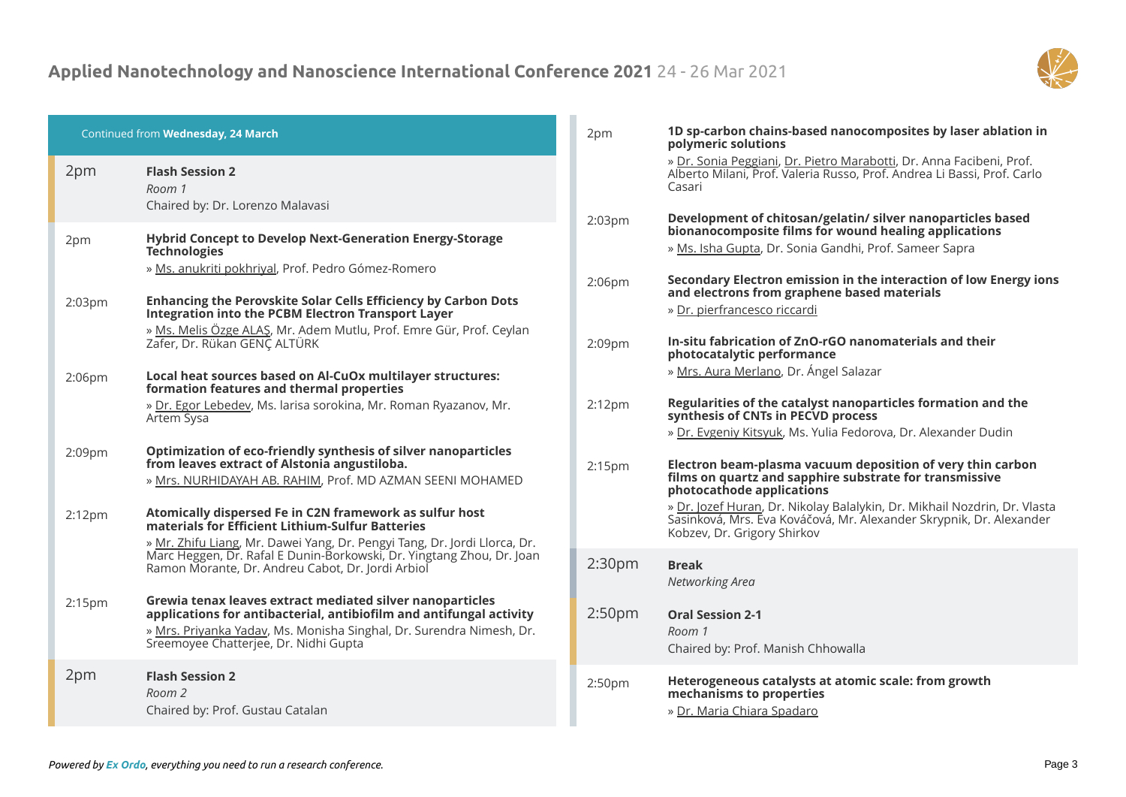

| Continued from Wednesday, 24 March |                                                                                                                                                                                                                                                   | 2pm                | 1D sp-carbon chains-based nanocomposites by laser ablation in<br>polymeric solutions                                                                                            |
|------------------------------------|---------------------------------------------------------------------------------------------------------------------------------------------------------------------------------------------------------------------------------------------------|--------------------|---------------------------------------------------------------------------------------------------------------------------------------------------------------------------------|
| 2pm                                | <b>Flash Session 2</b><br>Room 1<br>Chaired by: Dr. Lorenzo Malavasi                                                                                                                                                                              |                    | » Dr. Sonia Peggiani, Dr. Pietro Marabotti, Dr. Anna Facibeni, Prof.<br>Alberto Milani, Prof. Valeria Russo, Prof. Andrea Li Bassi, Prof. Carlo<br>Casari                       |
| 2pm                                | <b>Hybrid Concept to Develop Next-Generation Energy-Storage</b><br><b>Technologies</b><br>» Ms. anukriti pokhriyal, Prof. Pedro Gómez-Romero                                                                                                      | 2:03 <sub>pm</sub> | Development of chitosan/gelatin/ silver nanoparticles based<br>bionanocomposite films for wound healing applications<br>» Ms. Isha Gupta, Dr. Sonia Gandhi, Prof. Sameer Sapra  |
| 2:03pm                             | Enhancing the Perovskite Solar Cells Efficiency by Carbon Dots<br>Integration into the PCBM Electron Transport Layer                                                                                                                              | 2:06pm             | Secondary Electron emission in the interaction of low Energy ions<br>and electrons from graphene based materials<br>» Dr. pierfrancesco riccardi                                |
|                                    | » Ms. Melis Özge ALAŞ, Mr. Adem Mutlu, Prof. Emre Gür, Prof. Ceylan<br>Zafer, Dr. Rükan GENÇ ALTÜRK                                                                                                                                               | 2:09pm             | In-situ fabrication of ZnO-rGO nanomaterials and their<br>photocatalytic performance                                                                                            |
| 2:06pm                             | Local heat sources based on Al-CuOx multilayer structures:<br>formation features and thermal properties                                                                                                                                           |                    | » Mrs. Aura Merlano, Dr. Ángel Salazar                                                                                                                                          |
|                                    | » Dr. Egor Lebedev, Ms. larisa sorokina, Mr. Roman Ryazanov, Mr.<br>Artem Sysa                                                                                                                                                                    | 2:12 <sub>pm</sub> | Regularities of the catalyst nanoparticles formation and the<br>synthesis of CNTs in PECVD process<br>» Dr. Evgeniy Kitsyuk, Ms. Yulia Fedorova, Dr. Alexander Dudin            |
| 2:09pm                             | Optimization of eco-friendly synthesis of silver nanoparticles<br>from leaves extract of Alstonia angustiloba.<br>» Mrs. NURHIDAYAH AB. RAHIM, Prof. MD AZMAN SEENI MOHAMED                                                                       | 2:15pm             | Electron beam-plasma vacuum deposition of very thin carbon<br>films on quartz and sapphire substrate for transmissive<br>photocathode applications                              |
| 2:12 <sub>pm</sub>                 | Atomically dispersed Fe in C2N framework as sulfur host<br>materials for Efficient Lithium-Sulfur Batteries<br>» Mr. Zhifu Liang, Mr. Dawei Yang, Dr. Pengyi Tang, Dr. Jordi Llorca, Dr.                                                          |                    | » Dr. Jozef Huran, Dr. Nikolay Balalykin, Dr. Mikhail Nozdrin, Dr. Vlasta<br>Sasinková, Mrs. Eva Kováčová, Mr. Alexander Skrypnik, Dr. Alexander<br>Kobzev, Dr. Grigory Shirkov |
|                                    | Marc Heggen, Dr. Rafal E Dunin-Borkowski, Dr. Yingtang Zhou, Dr. Joan<br>Ramon Morante, Dr. Andreu Cabot, Dr. Jordi Arbiol                                                                                                                        | 2:30 <sub>pm</sub> | <b>Break</b><br>Networking Area                                                                                                                                                 |
| 2:15pm                             | Grewia tenax leaves extract mediated silver nanoparticles<br>applications for antibacterial, antibiofilm and antifungal activity<br>» Mrs. Priyanka Yadav, Ms. Monisha Singhal, Dr. Surendra Nimesh, Dr.<br>Sreemoyee Chatterjee, Dr. Nidhi Gupta | 2:50 <sub>pm</sub> | <b>Oral Session 2-1</b><br>Room 1<br>Chaired by: Prof. Manish Chhowalla                                                                                                         |
| 2pm                                | <b>Flash Session 2</b><br>Room 2<br>Chaired by: Prof. Gustau Catalan                                                                                                                                                                              | 2:50pm             | Heterogeneous catalysts at atomic scale: from growth<br>mechanisms to properties<br>» Dr. Maria Chiara Spadaro                                                                  |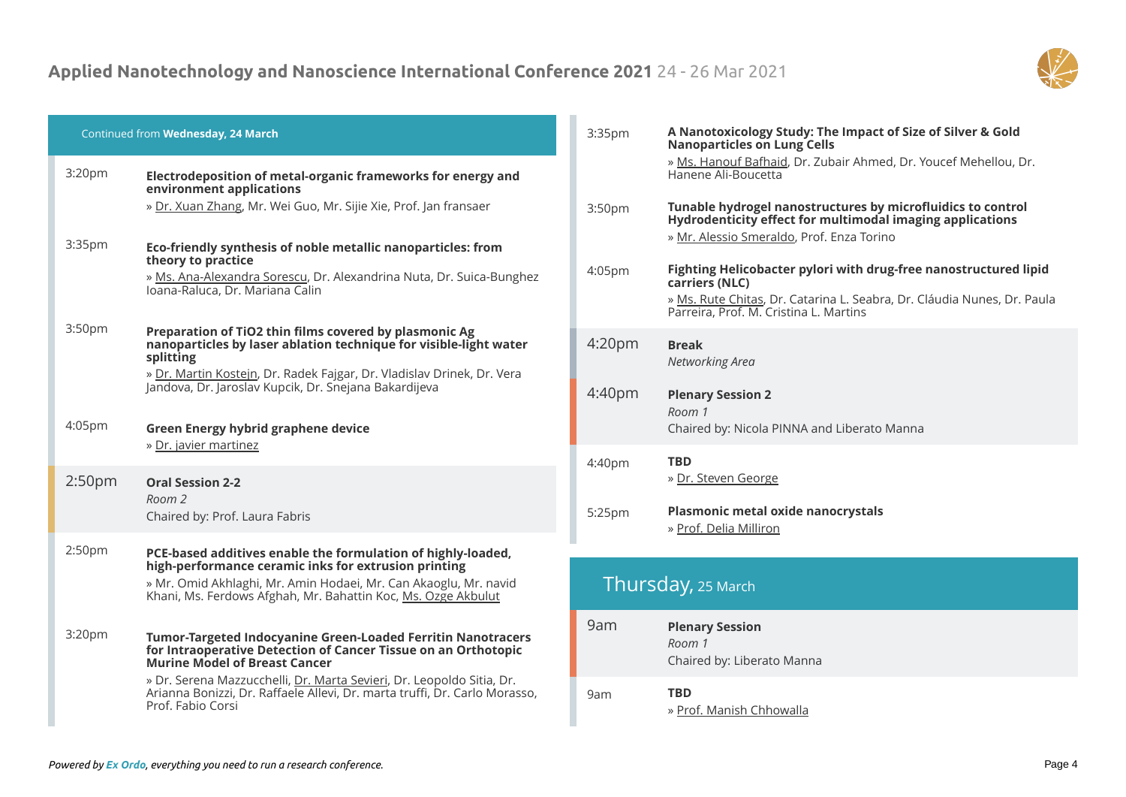

| Continued from Wednesday, 24 March |                                                                                                                                                                                                                                                           | 3:35pm             | A Nanotoxicology Study: The Impact of Size of Silver & Gold<br>Nanoparticles on Lung Cells<br>» Ms. Hanouf Bafhaid, Dr. Zubair Ahmed, Dr. Youcef Mehellou, Dr.                                                                                       |
|------------------------------------|-----------------------------------------------------------------------------------------------------------------------------------------------------------------------------------------------------------------------------------------------------------|--------------------|------------------------------------------------------------------------------------------------------------------------------------------------------------------------------------------------------------------------------------------------------|
| 3:20pm                             | Electrodeposition of metal-organic frameworks for energy and<br>environment applications<br>» Dr. Xuan Zhang, Mr. Wei Guo, Mr. Sijie Xie, Prof. Jan fransaer                                                                                              | 3:50pm             | Hanene Ali-Boucetta<br>Tunable hydrogel nanostructures by microfluidics to control<br>Hydrodenticity effect for multimodal imaging applications                                                                                                      |
| 3:35pm                             | Eco-friendly synthesis of noble metallic nanoparticles: from<br>theory to practice<br>» Ms. Ana-Alexandra Sorescu, Dr. Alexandrina Nuta, Dr. Suica-Bunghez<br>Ioana-Raluca, Dr. Mariana Calin                                                             | 4:05pm             | » Mr. Alessio Smeraldo, Prof. Enza Torino<br>Fighting Helicobacter pylori with drug-free nanostructured lipid<br>carriers (NLC)<br>» Ms. Rute Chitas, Dr. Catarina L. Seabra, Dr. Cláudia Nunes, Dr. Paula<br>Parreira, Prof. M. Cristina L. Martins |
| 3:50pm                             | Preparation of TiO2 thin films covered by plasmonic Ag<br>nanoparticles by laser ablation technique for visible-light water<br>splitting<br>» Dr. Martin Kostejn, Dr. Radek Fajgar, Dr. Vladislav Drinek, Dr. Vera                                        | 4:20pm             | <b>Break</b><br>Networking Area                                                                                                                                                                                                                      |
| 4:05pm                             | Jandova, Dr. Jaroslav Kupcik, Dr. Snejana Bakardijeva<br>Green Energy hybrid graphene device                                                                                                                                                              | 4:40 <sub>pm</sub> | <b>Plenary Session 2</b><br>Room 1<br>Chaired by: Nicola PINNA and Liberato Manna                                                                                                                                                                    |
| 2:50 <sub>pm</sub>                 | » Dr. javier martinez<br><b>Oral Session 2-2</b>                                                                                                                                                                                                          | 4:40pm             | <b>TBD</b><br>» Dr. Steven George                                                                                                                                                                                                                    |
|                                    | Room 2<br>Chaired by: Prof. Laura Fabris                                                                                                                                                                                                                  | 5:25pm             | Plasmonic metal oxide nanocrystals<br>» Prof. Delia Milliron                                                                                                                                                                                         |
| 2:50pm                             | PCE-based additives enable the formulation of highly-loaded,<br>high-performance ceramic inks for extrusion printing<br>» Mr. Omid Akhlaghi, Mr. Amin Hodaei, Mr. Can Akaoglu, Mr. navid<br>Khani, Ms. Ferdows Afghah, Mr. Bahattin Koc, Ms. Ozge Akbulut |                    | Thursday, 25 March                                                                                                                                                                                                                                   |
| 3:20pm                             | <b>Tumor-Targeted Indocyanine Green-Loaded Ferritin Nanotracers</b><br>for Intraoperative Detection of Cancer Tissue on an Orthotopic<br><b>Murine Model of Breast Cancer</b>                                                                             | 9am                | <b>Plenary Session</b><br>Room 1<br>Chaired by: Liberato Manna                                                                                                                                                                                       |
|                                    | » Dr. Serena Mazzucchelli, Dr. Marta Sevieri, Dr. Leopoldo Sitia, Dr.<br>Arianna Bonizzi, Dr. Raffaele Allevi, Dr. marta truffi, Dr. Carlo Morasso,<br>Prof. Fabio Corsi                                                                                  | 9am                | <b>TBD</b><br>» Prof. Manish Chhowalla                                                                                                                                                                                                               |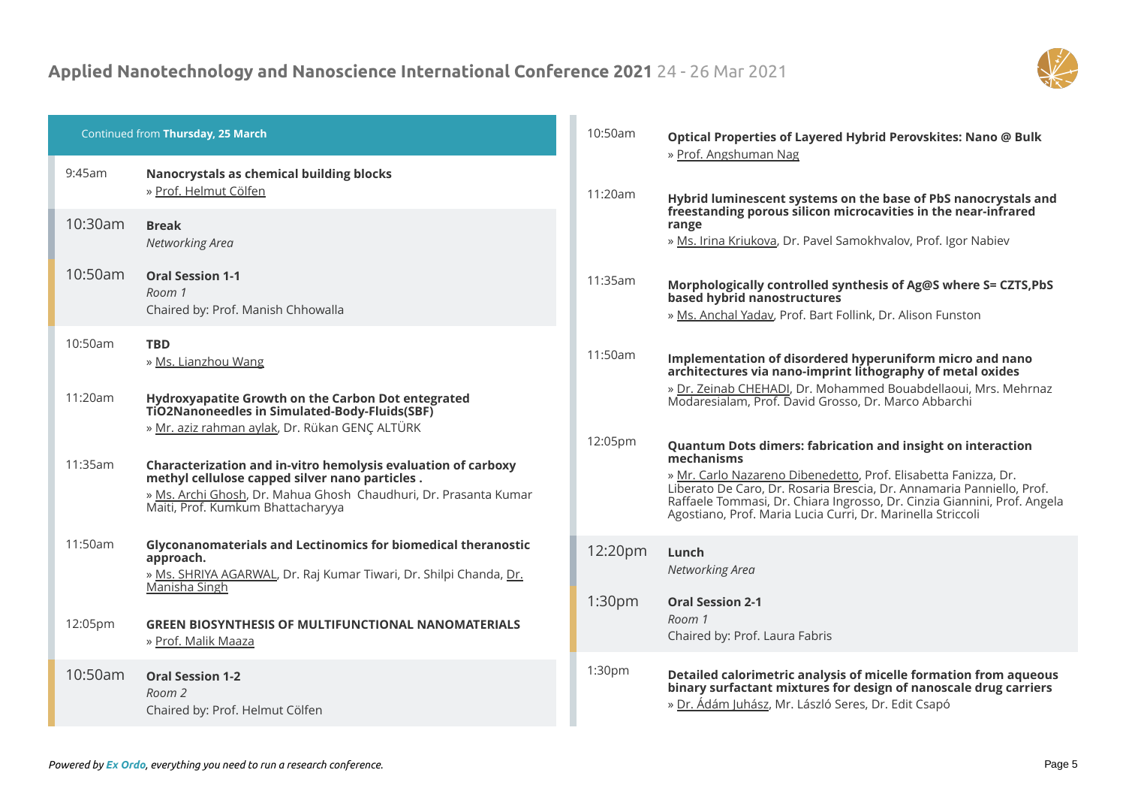

| Continued from Thursday, 25 March |                                                                                                                                                                                                                          | 10:50am               | Optical Properties of Layered Hybrid Perovskites: Nano @ Bulk<br>» Prof. Angshuman Nag                                                                                                                                                                                                                                                                    |
|-----------------------------------|--------------------------------------------------------------------------------------------------------------------------------------------------------------------------------------------------------------------------|-----------------------|-----------------------------------------------------------------------------------------------------------------------------------------------------------------------------------------------------------------------------------------------------------------------------------------------------------------------------------------------------------|
| 9:45am                            | Nanocrystals as chemical building blocks<br>» Prof. Helmut Cölfen                                                                                                                                                        | 11:20am               | Hybrid luminescent systems on the base of PbS nanocrystals and                                                                                                                                                                                                                                                                                            |
| 10:30am                           | <b>Break</b><br>Networking Area                                                                                                                                                                                          |                       | freestanding porous silicon microcavities in the near-infrared<br>range<br>» Ms. Irina Kriukova, Dr. Pavel Samokhvalov, Prof. Igor Nabiev                                                                                                                                                                                                                 |
| 10:50am                           | <b>Oral Session 1-1</b><br>Room 1<br>Chaired by: Prof. Manish Chhowalla                                                                                                                                                  | 11:35am               | Morphologically controlled synthesis of Ag@S where S= CZTS, PbS<br>based hybrid nanostructures<br>» Ms. Anchal Yadav, Prof. Bart Follink, Dr. Alison Funston                                                                                                                                                                                              |
| 10:50am                           | <b>TBD</b><br>» Ms. Lianzhou Wang                                                                                                                                                                                        | 11:50am               | Implementation of disordered hyperuniform micro and nano<br>architectures via nano-imprint lithography of metal oxides                                                                                                                                                                                                                                    |
| 11:20am                           | Hydroxyapatite Growth on the Carbon Dot entegrated<br>TiO2Nanoneedles in Simulated-Body-Fluids(SBF)<br>» Mr. aziz rahman aylak, Dr. Rükan GENÇ ALTÜRK                                                                    |                       | » Dr. Zeinab CHEHADI, Dr. Mohammed Bouabdellaoui, Mrs. Mehrnaz<br>Modaresialam, Prof. David Grosso, Dr. Marco Abbarchi                                                                                                                                                                                                                                    |
| 11:35am                           | Characterization and in-vitro hemolysis evaluation of carboxy<br>methyl cellulose capped silver nano particles.<br>» Ms. Archi Ghosh, Dr. Mahua Ghosh Chaudhuri, Dr. Prasanta Kumar<br>Maiti, Prof. Kumkum Bhattacharyya | 12:05pm<br>mechanisms | <b>Quantum Dots dimers: fabrication and insight on interaction</b><br>» Mr. Carlo Nazareno Dibenedetto, Prof. Elisabetta Fanizza, Dr.<br>Liberato De Caro, Dr. Rosaria Brescia, Dr. Annamaria Panniello, Prof.<br>Raffaele Tommasi, Dr. Chiara Ingrosso, Dr. Cinzia Giannini, Prof. Angela<br>Agostiano, Prof. Maria Lucia Curri, Dr. Marinella Striccoli |
| 11:50am                           | <b>Glyconanomaterials and Lectinomics for biomedical theranostic</b><br>approach.<br>» Ms. SHRIYA AGARWAL, Dr. Raj Kumar Tiwari, Dr. Shilpi Chanda, Dr.                                                                  | 12:20pm               | Lunch<br>Networking Area                                                                                                                                                                                                                                                                                                                                  |
| 12:05pm                           | Manisha Singh<br><b>GREEN BIOSYNTHESIS OF MULTIFUNCTIONAL NANOMATERIALS</b><br>» Prof. Malik Maaza                                                                                                                       | 1:30 <sub>pm</sub>    | <b>Oral Session 2-1</b><br>Room 1<br>Chaired by: Prof. Laura Fabris                                                                                                                                                                                                                                                                                       |
| 10:50am                           | <b>Oral Session 1-2</b><br>Room 2<br>Chaired by: Prof. Helmut Cölfen                                                                                                                                                     | 1:30pm                | Detailed calorimetric analysis of micelle formation from aqueous<br>binary surfactant mixtures for design of nanoscale drug carriers<br>» Dr. Ádám Juhász, Mr. László Seres, Dr. Edit Csapó                                                                                                                                                               |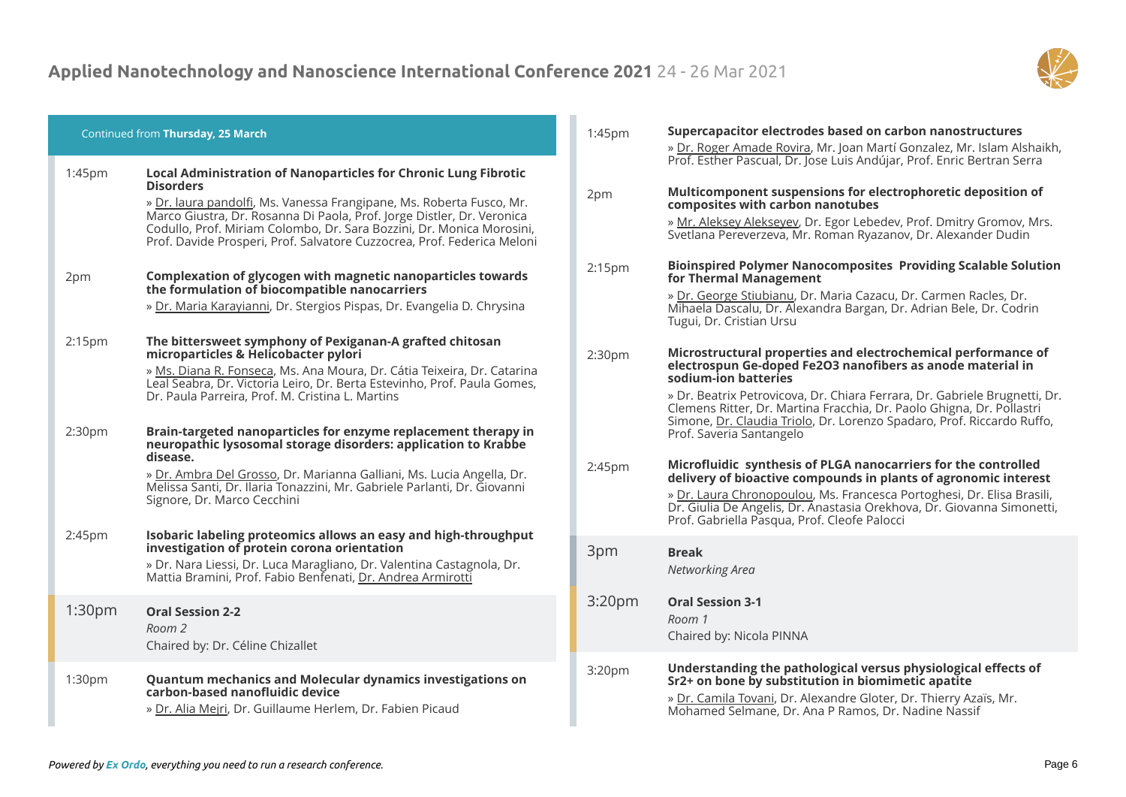

| Continued from Thursday, 25 March |                                                                                                                                                                                                                                                                                                                                                                                                  | 1:45 <sub>pm</sub> | Supercapacitor electrodes based on carbon nanostructures<br>» Dr. Roger Amade Rovira, Mr. Joan Martí Gonzalez, Mr. Islam Alshaikh,                                                                                                                                                                                                                                                                                                          |
|-----------------------------------|--------------------------------------------------------------------------------------------------------------------------------------------------------------------------------------------------------------------------------------------------------------------------------------------------------------------------------------------------------------------------------------------------|--------------------|---------------------------------------------------------------------------------------------------------------------------------------------------------------------------------------------------------------------------------------------------------------------------------------------------------------------------------------------------------------------------------------------------------------------------------------------|
| 1:45pm                            | <b>Local Administration of Nanoparticles for Chronic Lung Fibrotic</b><br><b>Disorders</b><br>» Dr. laura pandolfi, Ms. Vanessa Frangipane, Ms. Roberta Fusco, Mr.<br>Marco Giustra, Dr. Rosanna Di Paola, Prof. Jorge Distler, Dr. Veronica<br>Codullo, Prof. Miriam Colombo, Dr. Sara Bozzini, Dr. Monica Morosini,<br>Prof. Davide Prosperi, Prof. Salvatore Cuzzocrea, Prof. Federica Meloni | 2pm                | Prof. Esther Pascual, Dr. Jose Luis Andújar, Prof. Enric Bertran Serra<br>Multicomponent suspensions for electrophoretic deposition of<br>composites with carbon nanotubes<br>» Mr. Aleksey Alekseyev, Dr. Egor Lebedev, Prof. Dmitry Gromov, Mrs.<br>Svetlana Pereverzeva, Mr. Roman Ryazanov, Dr. Alexander Dudin                                                                                                                         |
| 2pm                               | Complexation of glycogen with magnetic nanoparticles towards<br>the formulation of biocompatible nanocarriers<br>» Dr. Maria Karayianni, Dr. Stergios Pispas, Dr. Evangelia D. Chrysina                                                                                                                                                                                                          | 2:15 <sub>pm</sub> | <b>Bioinspired Polymer Nanocomposites Providing Scalable Solution</b><br>for Thermal Management<br>» Dr. George Stiubianu, Dr. Maria Cazacu, Dr. Carmen Racles, Dr.<br>Mihaela Dascalu, Dr. Alexandra Bargan, Dr. Adrian Bele, Dr. Codrin<br>Tugui, Dr. Cristian Ursu                                                                                                                                                                       |
| 2:15 <sub>pm</sub>                | The bittersweet symphony of Pexiganan-A grafted chitosan<br>microparticles & Helicobacter pylori<br>» Ms. Diana R. Fonseca, Ms. Ana Moura, Dr. Cátia Teixeira, Dr. Catarina<br>Leal Seabra, Dr. Victoria Leiro, Dr. Berta Estevinho, Prof. Paula Gomes,<br>Dr. Paula Parreira, Prof. M. Cristina L. Martins                                                                                      | 2:30pm             | Microstructural properties and electrochemical performance of<br>electrospun Ge-doped Fe2O3 nanofibers as anode material in<br>sodium-ion batteries<br>» Dr. Beatrix Petrovicova, Dr. Chiara Ferrara, Dr. Gabriele Brugnetti, Dr.<br>Clemens Ritter, Dr. Martina Fracchia, Dr. Paolo Ghigna, Dr. Pollastri                                                                                                                                  |
| 2:30 <sub>pm</sub>                | Brain-targeted nanoparticles for enzyme replacement therapy in<br>neuropathic lysosomal storage disorders: application to Krabbe<br>disease.<br>» Dr. Ambra Del Grosso, Dr. Marianna Galliani, Ms. Lucia Angella, Dr.<br>Melissa Santi, Dr. Ilaria Tonazzini, Mr. Gabriele Parlanti, Dr. Giovanni<br>Signore, Dr. Marco Cecchini                                                                 | 2:45 <sub>pm</sub> | Simone, Dr. Claudia Triolo, Dr. Lorenzo Spadaro, Prof. Riccardo Ruffo,<br>Prof. Saveria Santangelo<br>Microfluidic synthesis of PLGA nanocarriers for the controlled<br>delivery of bioactive compounds in plants of agronomic interest<br>» Dr. Laura Chronopoulou, Ms. Francesca Portoghesi, Dr. Elisa Brasili,<br>Dr. Giulia De Angelis, Dr. Anastasia Orekhova, Dr. Giovanna Simonetti,<br>Prof. Gabriella Pasqua, Prof. Cleofe Palocci |
| 2:45pm                            | Isobaric labeling proteomics allows an easy and high-throughput<br>investigation of protein corona orientation<br>» Dr. Nara Liessi, Dr. Luca Maragliano, Dr. Valentina Castagnola, Dr.<br>Mattia Bramini, Prof. Fabio Benfenati, Dr. Andrea Armirotti                                                                                                                                           | 3pm                | <b>Break</b><br>Networking Area                                                                                                                                                                                                                                                                                                                                                                                                             |
| 1:30 <sub>pm</sub>                | <b>Oral Session 2-2</b><br>Room 2<br>Chaired by: Dr. Céline Chizallet                                                                                                                                                                                                                                                                                                                            | 3:20 <sub>pm</sub> | <b>Oral Session 3-1</b><br>Room 1<br>Chaired by: Nicola PINNA                                                                                                                                                                                                                                                                                                                                                                               |
| 1:30 <sub>pm</sub>                | <b>Quantum mechanics and Molecular dynamics investigations on</b><br>carbon-based nanofluidic device<br>» Dr. Alia Mejri, Dr. Guillaume Herlem, Dr. Fabien Picaud                                                                                                                                                                                                                                | 3:20pm             | Understanding the pathological versus physiological effects of<br>Sr2+ on bone by substitution in biomimetic apatite<br>» Dr. Camila Tovani, Dr. Alexandre Gloter, Dr. Thierry Azaïs, Mr.<br>Mohamed Selmane, Dr. Ana P Ramos, Dr. Nadine Nassif                                                                                                                                                                                            |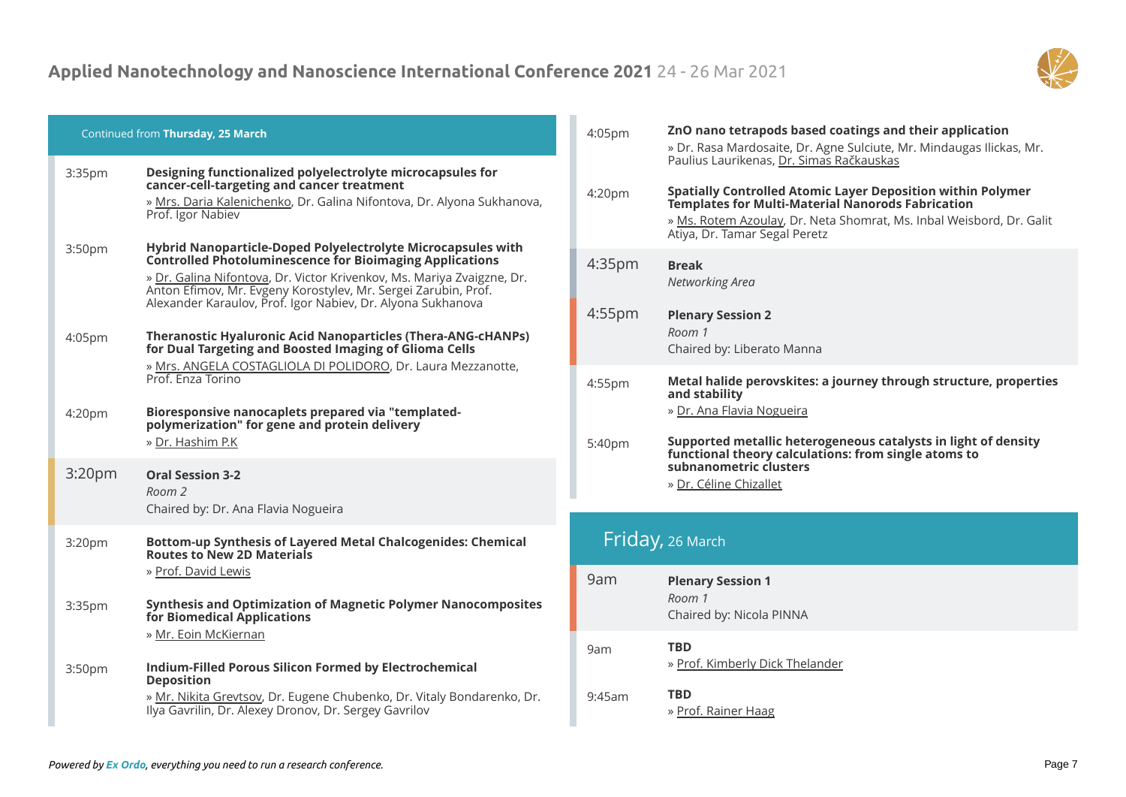

|                    | Continued from Thursday, 25 March                                                                                                                                                                                                                                                                                                          |
|--------------------|--------------------------------------------------------------------------------------------------------------------------------------------------------------------------------------------------------------------------------------------------------------------------------------------------------------------------------------------|
| 3:35pm             | Designing functionalized polyelectrolyte microcapsules for<br>cancer-cell-targeting and cancer treatment<br>» Mrs. Daria Kalenichenko, Dr. Galina Nifontova, Dr. Alyona Sukhanova,<br>Prof. Igor Nabiev                                                                                                                                    |
| 3:50 <sub>pm</sub> | Hybrid Nanoparticle-Doped Polyelectrolyte Microcapsules with<br><b>Controlled Photoluminescence for Bioimaging Applications</b><br>» Dr. Galina Nifontova, Dr. Victor Krivenkov, Ms. Mariya Zvaigzne, Dr.<br>Anton Efimov, Mr. Evgeny Korostylev, Mr. Sergei Zarubin, Prof.<br>Alexander Karaulov, Prof. Igor Nabiev, Dr. Alyona Sukhanova |
| 4:05 <sub>pm</sub> | <b>Theranostic Hyaluronic Acid Nanoparticles (Thera-ANG-cHANPs)</b><br>for Dual Targeting and Boosted Imaging of Glioma Cells<br>» Mrs. ANGELA COSTAGLIOLA DI POLIDORO, Dr. Laura Mezzanotte,<br>Prof. Enza Torino                                                                                                                         |
| 4:20 <sub>pm</sub> | Bioresponsive nanocaplets prepared via "templated-<br>polymerization" for gene and protein delivery<br>» Dr. Hashim P.K                                                                                                                                                                                                                    |
| 3:20 <sub>pm</sub> | <b>Oral Session 3-2</b><br>Room 2<br>Chaired by: Dr. Ana Flavia Nogueira                                                                                                                                                                                                                                                                   |
| 3:20 <sub>pm</sub> | <b>Bottom-up Synthesis of Layered Metal Chalcogenides: Chemical</b><br><b>Routes to New 2D Materials</b><br>» Prof. David Lewis                                                                                                                                                                                                            |
| 3:35 <sub>pm</sub> | <b>Synthesis and Optimization of Magnetic Polymer Nanocomposites</b><br>for Biomedical Applications<br>» Mr. Eoin McKiernan                                                                                                                                                                                                                |
| 3:50 <sub>pm</sub> | <b>Indium-Filled Porous Silicon Formed by Electrochemical</b><br><b>Deposition</b><br>» Mr. Nikita Grevtsov, Dr. Eugene Chubenko, Dr. Vitaly Bondarenko, Dr.<br>Ilya Gavrilin, Dr. Alexey Dronov, Dr. Sergey Gavrilov                                                                                                                      |

| 4:05 <sub>pm</sub> | ZnO nano tetrapods based coatings and their application<br>» Dr. Rasa Mardosaite, Dr. Agne Sulciute, Mr. Mindaugas Ilickas, Mr.<br>Paulius Laurikenas, Dr. Simas Račkauskas                                                             |
|--------------------|-----------------------------------------------------------------------------------------------------------------------------------------------------------------------------------------------------------------------------------------|
| 4:20 <sub>pm</sub> | <b>Spatially Controlled Atomic Layer Deposition within Polymer</b><br><b>Templates for Multi-Material Nanorods Fabrication</b><br>» Ms. Rotem Azoulay, Dr. Neta Shomrat, Ms. Inbal Weisbord, Dr. Galit<br>Atiya, Dr. Tamar Segal Peretz |
| 4:35 <sub>pm</sub> | <b>Break</b><br>Networking Area                                                                                                                                                                                                         |
| $4:55$ pm          | <b>Plenary Session 2</b><br>Room 1<br>Chaired by: Liberato Manna                                                                                                                                                                        |
| $4:55$ pm          | Metal halide perovskites: a journey through structure, properties<br>and stability<br>» Dr. Ana Flavia Nogueira                                                                                                                         |
| 5:40pm             | Supported metallic heterogeneous catalysts in light of density<br>functional theory calculations: from single atoms to<br>subnanometric clusters<br>» Dr. Céline Chizallet                                                              |
|                    | Friday, 26 March                                                                                                                                                                                                                        |

| 9am    | <b>Plenary Session 1</b><br>Room 1<br>Chaired by: Nicola PINNA |
|--------|----------------------------------------------------------------|
| 9am    | <b>TBD</b><br>» Prof. Kimberly Dick Thelander                  |
| 9:45am | TBD<br>» Prof. Rainer Haag                                     |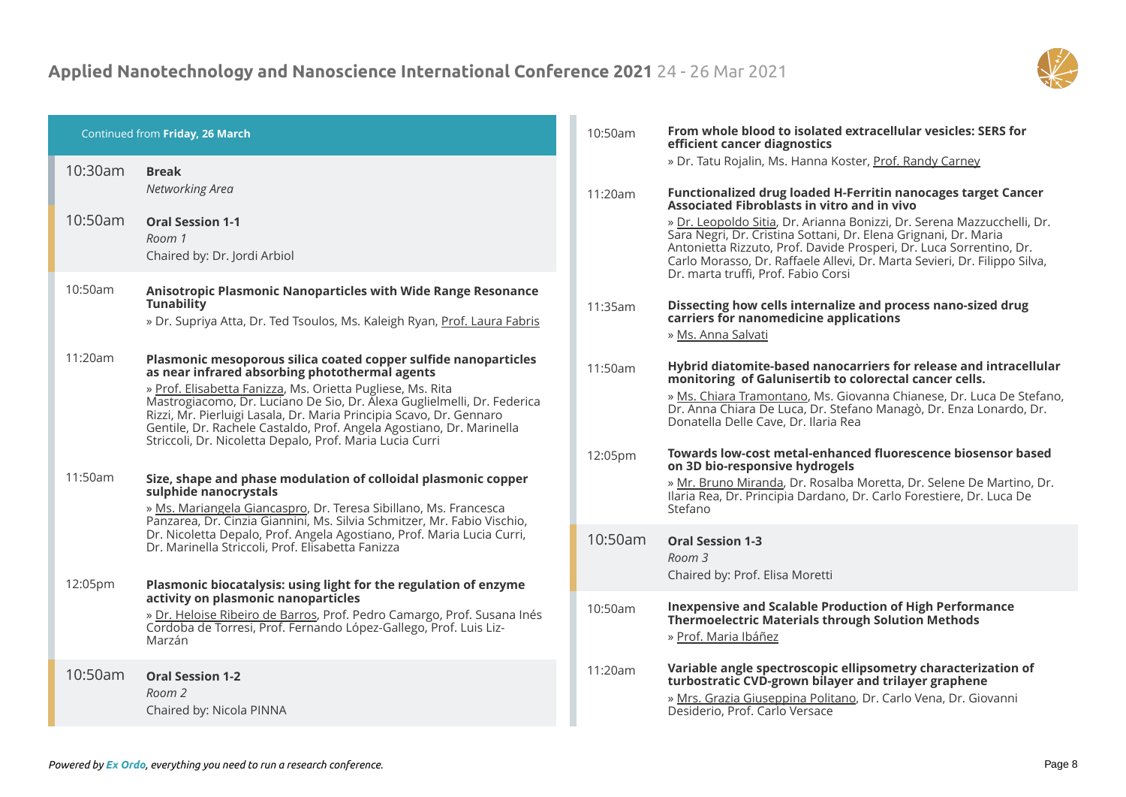

| Continued from Friday, 26 March |                                                                                                                                                                                                                                                                                                                                                                                                                                                                       | 10:50am | From whole blood to isolated extracellular vesicles: SERS for<br>efficient cancer diagnostics                                                                                                                                                                                                                                                                                        |
|---------------------------------|-----------------------------------------------------------------------------------------------------------------------------------------------------------------------------------------------------------------------------------------------------------------------------------------------------------------------------------------------------------------------------------------------------------------------------------------------------------------------|---------|--------------------------------------------------------------------------------------------------------------------------------------------------------------------------------------------------------------------------------------------------------------------------------------------------------------------------------------------------------------------------------------|
| 10:30am                         | <b>Break</b><br>Networking Area                                                                                                                                                                                                                                                                                                                                                                                                                                       | 11:20am | » Dr. Tatu Rojalin, Ms. Hanna Koster, Prof. Randy Carney<br>Functionalized drug loaded H-Ferritin nanocages target Cancer                                                                                                                                                                                                                                                            |
| 10:50am                         | <b>Oral Session 1-1</b><br>Room 1<br>Chaired by: Dr. Jordi Arbiol                                                                                                                                                                                                                                                                                                                                                                                                     |         | Associated Fibroblasts in vitro and in vivo<br>» Dr. Leopoldo Sitia, Dr. Arianna Bonizzi, Dr. Serena Mazzucchelli, Dr.<br>Sara Negri, Dr. Cristina Sottani, Dr. Elena Grignani, Dr. Maria<br>Antonietta Rizzuto, Prof. Davide Prosperi, Dr. Luca Sorrentino, Dr.<br>Carlo Morasso, Dr. Raffaele Allevi, Dr. Marta Sevieri, Dr. Filippo Silva,<br>Dr. marta truffi, Prof. Fabio Corsi |
| 10:50am                         | <b>Anisotropic Plasmonic Nanoparticles with Wide Range Resonance</b><br><b>Tunability</b><br>» Dr. Supriya Atta, Dr. Ted Tsoulos, Ms. Kaleigh Ryan, Prof. Laura Fabris                                                                                                                                                                                                                                                                                                | 11:35am | Dissecting how cells internalize and process nano-sized drug<br>carriers for nanomedicine applications<br>» Ms. Anna Salvati                                                                                                                                                                                                                                                         |
| 11:20am                         | Plasmonic mesoporous silica coated copper sulfide nanoparticles<br>as near infrared absorbing photothermal agents<br>» Prof. Elisabetta Fanizza, Ms. Orietta Pugliese, Ms. Rita<br>Mastrogiacomo, Dr. Luciano De Sio, Dr. Alexa Guglielmelli, Dr. Federica<br>Rizzi, Mr. Pierluigi Lasala, Dr. Maria Principia Scavo, Dr. Gennaro<br>Gentile, Dr. Rachele Castaldo, Prof. Angela Agostiano, Dr. Marinella<br>Striccoli, Dr. Nicoletta Depalo, Prof. Maria Lucia Curri | 11:50am | Hybrid diatomite-based nanocarriers for release and intracellular<br>monitoring of Galunisertib to colorectal cancer cells.<br>» Ms. Chiara Tramontano, Ms. Giovanna Chianese, Dr. Luca De Stefano,<br>Dr. Anna Chiara De Luca, Dr. Stefano Managò, Dr. Enza Lonardo, Dr.<br>Donatella Delle Cave, Dr. Ilaria Rea                                                                    |
| 11:50am                         | Size, shape and phase modulation of colloidal plasmonic copper<br>sulphide nanocrystals<br>» Ms. Mariangela Giancaspro, Dr. Teresa Sibillano, Ms. Francesca<br>Panzarea, Dr. Cinzia Giannini, Ms. Silvia Schmitzer, Mr. Fabio Vischio,                                                                                                                                                                                                                                | 12:05pm | Towards low-cost metal-enhanced fluorescence biosensor based<br>on 3D bio-responsive hydrogels<br>» Mr. Bruno Miranda, Dr. Rosalba Moretta, Dr. Selene De Martino, Dr.<br>Ilaria Rea, Dr. Principia Dardano, Dr. Carlo Forestiere, Dr. Luca De<br>Stefano                                                                                                                            |
| 12:05pm                         | Dr. Nicoletta Depalo, Prof. Angela Agostiano, Prof. Maria Lucia Curri,<br>Dr. Marinella Striccoli, Prof. Elisabetta Fanizza<br>Plasmonic biocatalysis: using light for the regulation of enzyme                                                                                                                                                                                                                                                                       | 10:50am | <b>Oral Session 1-3</b><br>Room 3<br>Chaired by: Prof. Elisa Moretti                                                                                                                                                                                                                                                                                                                 |
|                                 | activity on plasmonic nanoparticles<br>» Dr. Heloise Ribeiro de Barros, Prof. Pedro Camargo, Prof. Susana Inés<br>Cordoba de Torresi, Prof. Fernando López-Gallego, Prof. Luis Liz-<br>Marzán                                                                                                                                                                                                                                                                         | 10:50am | <b>Inexpensive and Scalable Production of High Performance</b><br><b>Thermoelectric Materials through Solution Methods</b><br>» Prof. Maria Ibáñez                                                                                                                                                                                                                                   |
| 10:50am                         | <b>Oral Session 1-2</b><br>Room 2<br>Chaired by: Nicola PINNA                                                                                                                                                                                                                                                                                                                                                                                                         | 11:20am | Variable angle spectroscopic ellipsometry characterization of<br>turbostratic CVD-grown bilayer and trilayer graphene<br>» Mrs. Grazia Giuseppina Politano, Dr. Carlo Vena, Dr. Giovanni<br>Desiderio, Prof. Carlo Versace                                                                                                                                                           |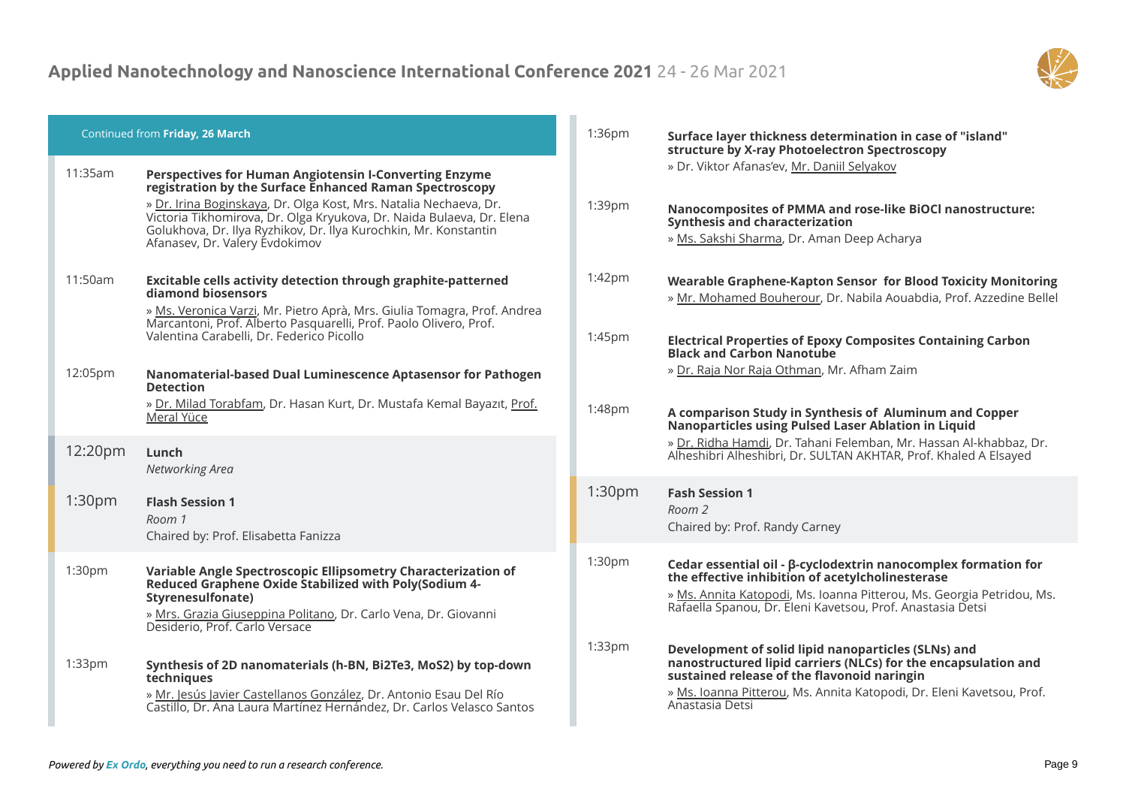

| Continued from Friday, 26 March |                                                                                                                                                                                                                                                                                                                                                                       | 1:36pm             | Surface layer thickness determination in case of "island"<br>structure by X-ray Photoelectron Spectroscopy                                                                                                                                                       |
|---------------------------------|-----------------------------------------------------------------------------------------------------------------------------------------------------------------------------------------------------------------------------------------------------------------------------------------------------------------------------------------------------------------------|--------------------|------------------------------------------------------------------------------------------------------------------------------------------------------------------------------------------------------------------------------------------------------------------|
| 11:35am                         | Perspectives for Human Angiotensin I-Converting Enzyme<br>registration by the Surface Enhanced Raman Spectroscopy<br>» Dr. Irina Boginskaya, Dr. Olga Kost, Mrs. Natalia Nechaeva, Dr.<br>Victoria Tikhomirova, Dr. Olga Kryukova, Dr. Naida Bulaeva, Dr. Elena<br>Golukhova, Dr. Ilya Ryzhikov, Dr. Ilya Kurochkin, Mr. Konstantin<br>Afanasev, Dr. Valery Evdokimov | 1:39pm             | » Dr. Viktor Afanas'ev, Mr. Daniil Selyakov<br>Nanocomposites of PMMA and rose-like BiOCl nanostructure:<br>Synthesis and characterization<br>» Ms. Sakshi Sharma, Dr. Aman Deep Acharya                                                                         |
| 11:50am                         | Excitable cells activity detection through graphite-patterned<br>diamond biosensors<br>» Ms. Veronica Varzi, Mr. Pietro Aprà, Mrs. Giulia Tomagra, Prof. Andrea<br>Marcantoni, Prof. Alberto Pasquarelli, Prof. Paolo Olivero, Prof.                                                                                                                                  | $1:42$ pm          | Wearable Graphene-Kapton Sensor for Blood Toxicity Monitoring<br>» Mr. Mohamed Bouherour, Dr. Nabila Aouabdia, Prof. Azzedine Bellel                                                                                                                             |
|                                 | Valentina Carabelli, Dr. Federico Picollo                                                                                                                                                                                                                                                                                                                             | 1:45pm             | <b>Electrical Properties of Epoxy Composites Containing Carbon</b><br><b>Black and Carbon Nanotube</b>                                                                                                                                                           |
| 12:05pm                         | Nanomaterial-based Dual Luminescence Aptasensor for Pathogen<br><b>Detection</b>                                                                                                                                                                                                                                                                                      |                    | » Dr. Raja Nor Raja Othman, Mr. Afham Zaim                                                                                                                                                                                                                       |
|                                 | » Dr. Milad Torabfam, Dr. Hasan Kurt, Dr. Mustafa Kemal Bayazıt, Prof.<br>Meral Yüce                                                                                                                                                                                                                                                                                  | 1:48pm             | A comparison Study in Synthesis of Aluminum and Copper<br>Nanoparticles using Pulsed Laser Ablation in Liquid                                                                                                                                                    |
| 12:20pm                         | Lunch<br>Networking Area                                                                                                                                                                                                                                                                                                                                              |                    | » Dr. Ridha Hamdi, Dr. Tahani Felemban, Mr. Hassan Al-khabbaz, Dr.<br>Alheshibri Alheshibri, Dr. SULTAN AKHTAR, Prof. Khaled A Elsayed                                                                                                                           |
| 1:30 <sub>pm</sub>              | <b>Flash Session 1</b><br>Room 1<br>Chaired by: Prof. Elisabetta Fanizza                                                                                                                                                                                                                                                                                              | 1:30 <sub>pm</sub> | <b>Fash Session 1</b><br>Room 2<br>Chaired by: Prof. Randy Carney                                                                                                                                                                                                |
| 1:30 <sub>pm</sub>              | Variable Angle Spectroscopic Ellipsometry Characterization of<br>Reduced Graphene Oxide Stabilized with Poly(Sodium 4-<br>Styrenesulfonate)<br>» Mrs. Grazia Giuseppina Politano, Dr. Carlo Vena, Dr. Giovanni<br>Desiderio, Prof. Carlo Versace                                                                                                                      | 1:30pm             | Cedar essential oil - β-cyclodextrin nanocomplex formation for<br>the effective inhibition of acetylcholinesterase<br>» Ms. Annita Katopodi, Ms. Ioanna Pitterou, Ms. Georgia Petridou, Ms.<br>Rafaella Spanou, Dr. Eleni Kavetsou, Prof. Anastasia Detsi        |
| 1:33 <sub>pm</sub>              | Synthesis of 2D nanomaterials (h-BN, Bi2Te3, MoS2) by top-down<br>techniques<br>» Mr. Jesús Javier Castellanos González, Dr. Antonio Esau Del Río<br>Castillo, Dr. Ana Laura Martínez Hernández, Dr. Carlos Velasco Santos                                                                                                                                            | 1:33 <sub>pm</sub> | Development of solid lipid nanoparticles (SLNs) and<br>nanostructured lipid carriers (NLCs) for the encapsulation and<br>sustained release of the flavonoid naringin<br>» Ms. Ioanna Pitterou, Ms. Annita Katopodi, Dr. Eleni Kavetsou, Prof.<br>Anastasia Detsi |
|                                 |                                                                                                                                                                                                                                                                                                                                                                       |                    |                                                                                                                                                                                                                                                                  |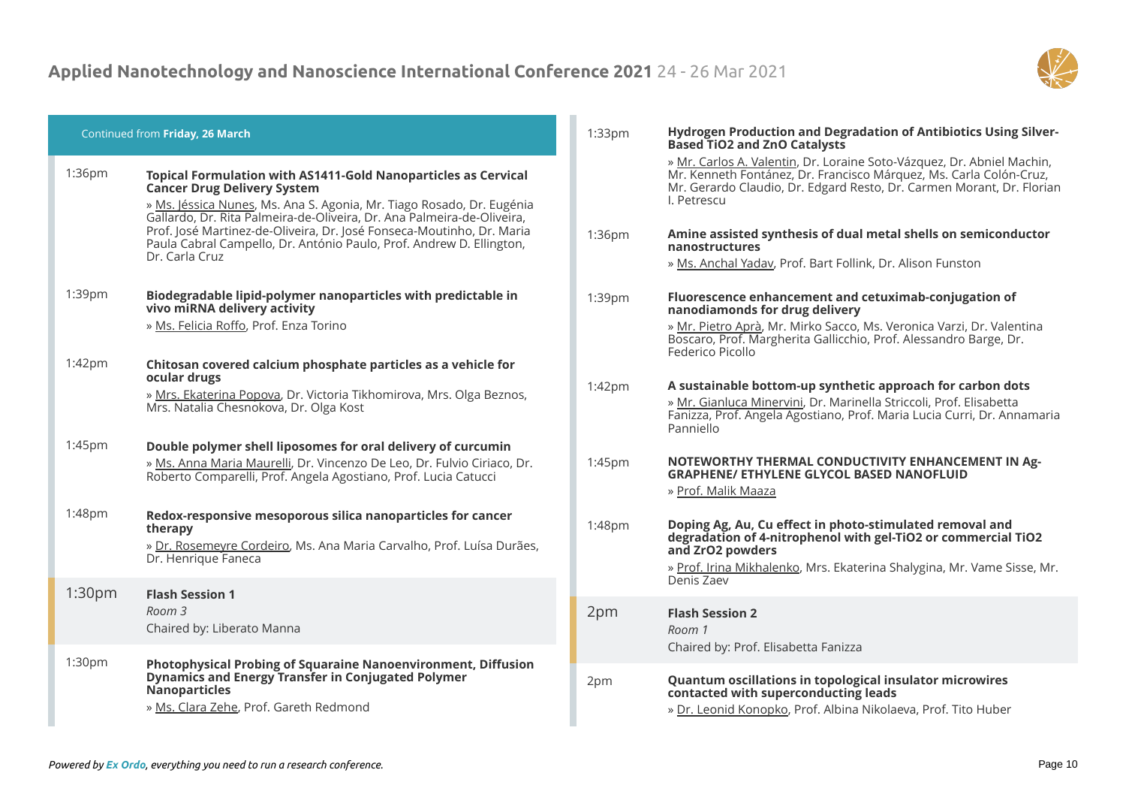

| Continued from Friday, 26 March                                                                                                                                                                                                                                                                                                                                                                                                             | Hydrogen Production and Degradation of Antibiotics Using Silver-<br>$1:33$ pm<br><b>Based TiO2 and ZnO Catalysts</b>                                                                                                                                                                                                               |
|---------------------------------------------------------------------------------------------------------------------------------------------------------------------------------------------------------------------------------------------------------------------------------------------------------------------------------------------------------------------------------------------------------------------------------------------|------------------------------------------------------------------------------------------------------------------------------------------------------------------------------------------------------------------------------------------------------------------------------------------------------------------------------------|
| 1:36pm<br><b>Topical Formulation with AS1411-Gold Nanoparticles as Cervical</b><br><b>Cancer Drug Delivery System</b><br>» Ms. Jéssica Nunes, Ms. Ana S. Agonia, Mr. Tiago Rosado, Dr. Eugénia<br>Gallardo, Dr. Rita Palmeira-de-Oliveira, Dr. Ana Palmeira-de-Oliveira,<br>Prof. José Martinez-de-Oliveira, Dr. José Fonseca-Moutinho, Dr. Maria<br>Paula Cabral Campello, Dr. António Paulo, Prof. Andrew D. Ellington,<br>Dr. Carla Cruz | » Mr. Carlos A. Valentin, Dr. Loraine Soto-Vázquez, Dr. Abniel Machin,<br>Mr. Kenneth Fontánez, Dr. Francisco Márquez, Ms. Carla Colón-Cruz,<br>Mr. Gerardo Claudio, Dr. Edgard Resto, Dr. Carmen Morant, Dr. Florian<br>I. Petrescu<br>Amine assisted synthesis of dual metal shells on semiconductor<br>1:36pm<br>nanostructures |
| 1:39pm<br>Biodegradable lipid-polymer nanoparticles with predictable in<br>vivo miRNA delivery activity<br>» Ms. Felicia Roffo, Prof. Enza Torino                                                                                                                                                                                                                                                                                           | » Ms. Anchal Yadav, Prof. Bart Follink, Dr. Alison Funston<br>Fluorescence enhancement and cetuximab-conjugation of<br>1:39pm<br>nanodiamonds for drug delivery<br>» Mr. Pietro Aprà, Mr. Mirko Sacco, Ms. Veronica Varzi, Dr. Valentina<br>Boscaro, Prof. Margherita Gallicchio, Prof. Alessandro Barge, Dr.                      |
| 1:42pm<br>Chitosan covered calcium phosphate particles as a vehicle for<br>ocular drugs<br>» Mrs. Ekaterina Popova, Dr. Victoria Tikhomirova, Mrs. Olga Beznos,<br>Mrs. Natalia Chesnokova, Dr. Olga Kost                                                                                                                                                                                                                                   | Federico Picollo<br>A sustainable bottom-up synthetic approach for carbon dots<br>1:42pm<br>» Mr. Gianluca Minervini, Dr. Marinella Striccoli, Prof. Elisabetta<br>Fanizza, Prof. Angela Agostiano, Prof. Maria Lucia Curri, Dr. Annamaria<br>Panniello                                                                            |
| 1:45pm<br>Double polymer shell liposomes for oral delivery of curcumin<br>» Ms. Anna Maria Maurelli, Dr. Vincenzo De Leo, Dr. Fulvio Ciriaco, Dr.<br>Roberto Comparelli, Prof. Angela Agostiano, Prof. Lucia Catucci                                                                                                                                                                                                                        | NOTEWORTHY THERMAL CONDUCTIVITY ENHANCEMENT IN Ag-<br>1:45pm<br><b>GRAPHENE/ ETHYLENE GLYCOL BASED NANOFLUID</b><br>» Prof. Malik Maaza                                                                                                                                                                                            |
| 1:48pm<br>Redox-responsive mesoporous silica nanoparticles for cancer<br>therapy<br>» Dr. Rosemeyre Cordeiro, Ms. Ana Maria Carvalho, Prof. Luísa Durães,<br>Dr. Henrique Faneca                                                                                                                                                                                                                                                            | Doping Ag, Au, Cu effect in photo-stimulated removal and<br>1:48pm<br>degradation of 4-nitrophenol with gel-TiO2 or commercial TiO2<br>and ZrO2 powders<br>» Prof. Irina Mikhalenko, Mrs. Ekaterina Shalygina, Mr. Vame Sisse, Mr.<br>Denis Zaev                                                                                   |
| 1:30 <sub>pm</sub><br><b>Flash Session 1</b><br>Room 3<br>Chaired by: Liberato Manna                                                                                                                                                                                                                                                                                                                                                        | 2pm<br><b>Flash Session 2</b><br>Room 1<br>Chaired by: Prof. Elisabetta Fanizza                                                                                                                                                                                                                                                    |
| 1:30pm<br>Photophysical Probing of Squaraine Nanoenvironment, Diffusion<br>Dynamics and Energy Transfer in Conjugated Polymer<br><b>Nanoparticles</b><br>» Ms. Clara Zehe, Prof. Gareth Redmond                                                                                                                                                                                                                                             | Quantum oscillations in topological insulator microwires<br>2pm<br>contacted with superconducting leads<br>» Dr. Leonid Konopko, Prof. Albina Nikolaeva, Prof. Tito Huber                                                                                                                                                          |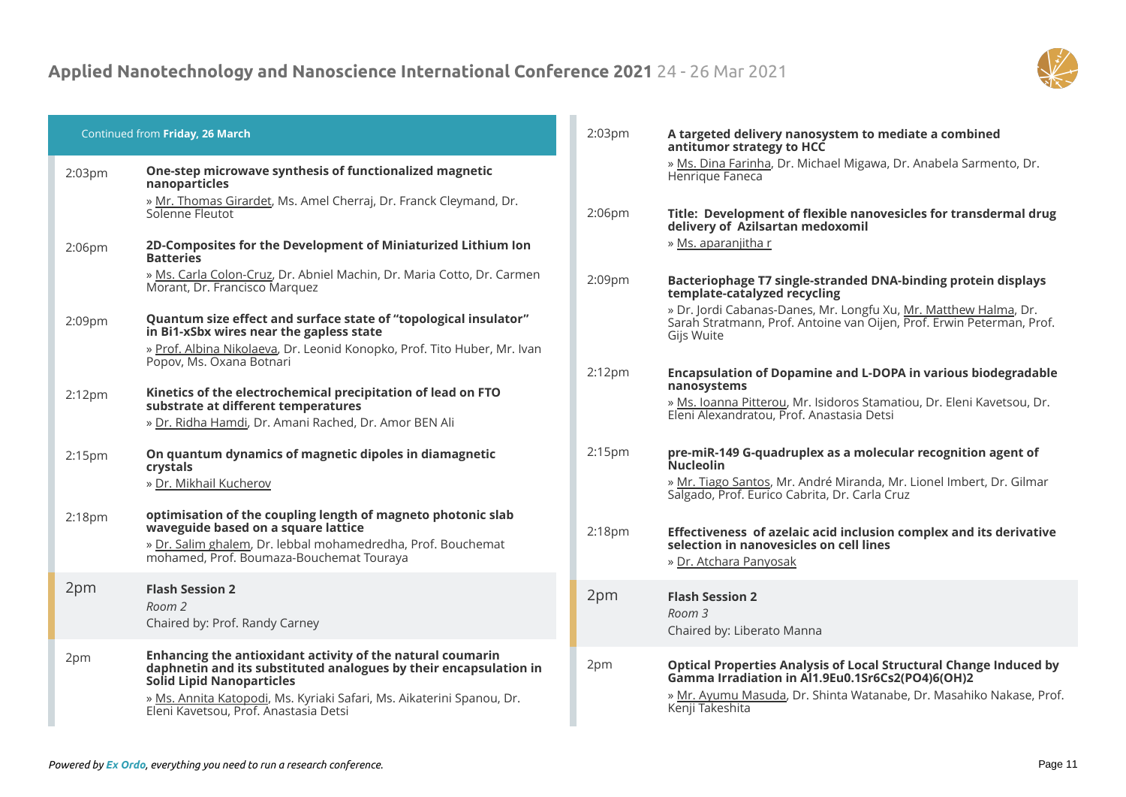

| Continued from Friday, 26 March |                                                                                                                                                                                                                                                                                       | 2:03 <sub>pm</sub> | A targeted delivery nanosystem to mediate a combined<br>antitumor strategy to HCC                                                                                                                                      |
|---------------------------------|---------------------------------------------------------------------------------------------------------------------------------------------------------------------------------------------------------------------------------------------------------------------------------------|--------------------|------------------------------------------------------------------------------------------------------------------------------------------------------------------------------------------------------------------------|
| 2:03 <sub>pm</sub>              | One-step microwave synthesis of functionalized magnetic<br>nanoparticles                                                                                                                                                                                                              |                    | » Ms. Dina Farinha, Dr. Michael Migawa, Dr. Anabela Sarmento, Dr.<br>Henrique Faneca                                                                                                                                   |
|                                 | » Mr. Thomas Girardet, Ms. Amel Cherraj, Dr. Franck Cleymand, Dr.<br>Solenne Fleutot                                                                                                                                                                                                  | 2:06 <sub>pm</sub> | Title: Development of flexible nanovesicles for transdermal drug<br>delivery of Azilsartan medoxomil                                                                                                                   |
| 2:06 <sub>pm</sub>              | 2D-Composites for the Development of Miniaturized Lithium Ion<br><b>Batteries</b>                                                                                                                                                                                                     |                    | » Ms. aparanjitha r                                                                                                                                                                                                    |
|                                 | » Ms. Carla Colon-Cruz, Dr. Abniel Machin, Dr. Maria Cotto, Dr. Carmen<br>Morant, Dr. Francisco Marquez                                                                                                                                                                               | 2:09pm             | Bacteriophage T7 single-stranded DNA-binding protein displays<br>template-catalyzed recycling                                                                                                                          |
| 2:09pm                          | Quantum size effect and surface state of "topological insulator"<br>in Bi1-xSbx wires near the gapless state                                                                                                                                                                          |                    | » Dr. Jordi Cabanas-Danes, Mr. Longfu Xu, Mr. Matthew Halma, Dr.<br>Sarah Stratmann, Prof. Antoine van Oijen, Prof. Erwin Peterman, Prof.<br>Gijs Wuite                                                                |
|                                 | » Prof. Albina Nikolaeva, Dr. Leonid Konopko, Prof. Tito Huber, Mr. Ivan<br>Popov, Ms. Oxana Botnari                                                                                                                                                                                  | 2:12 <sub>pm</sub> | <b>Encapsulation of Dopamine and L-DOPA in various biodegradable</b>                                                                                                                                                   |
| 2:12 <sub>pm</sub>              | Kinetics of the electrochemical precipitation of lead on FTO<br>substrate at different temperatures<br>» Dr. Ridha Hamdi, Dr. Amani Rached, Dr. Amor BEN Ali                                                                                                                          |                    | nanosystems<br>» Ms. Ioanna Pitterou, Mr. Isidoros Stamatiou, Dr. Eleni Kavetsou, Dr.<br>Eleni Alexandratou, Prof. Anastasia Detsi                                                                                     |
| 2:15 <sub>pm</sub>              | On quantum dynamics of magnetic dipoles in diamagnetic<br>crystals                                                                                                                                                                                                                    | 2:15 <sub>pm</sub> | pre-miR-149 G-quadruplex as a molecular recognition agent of<br><b>Nucleolin</b>                                                                                                                                       |
|                                 | » Dr. Mikhail Kucherov                                                                                                                                                                                                                                                                |                    | » Mr. Tiago Santos, Mr. André Miranda, Mr. Lionel Imbert, Dr. Gilmar<br>Salgado, Prof. Eurico Cabrita, Dr. Carla Cruz                                                                                                  |
| 2:18 <sub>pm</sub>              | optimisation of the coupling length of magneto photonic slab<br>waveguide based on a square lattice<br>» Dr. Salim ghalem, Dr. lebbal mohamedredha, Prof. Bouchemat<br>mohamed, Prof. Boumaza-Bouchemat Touraya                                                                       | 2:18 <sub>pm</sub> | Effectiveness of azelaic acid inclusion complex and its derivative<br>selection in nanovesicles on cell lines<br>» Dr. Atchara Panyosak                                                                                |
| 2pm                             | <b>Flash Session 2</b><br>Room 2<br>Chaired by: Prof. Randy Carney                                                                                                                                                                                                                    | 2pm                | <b>Flash Session 2</b><br>Room 3<br>Chaired by: Liberato Manna                                                                                                                                                         |
| 2pm                             | Enhancing the antioxidant activity of the natural coumarin<br>daphnetin and its substituted analogues by their encapsulation in<br><b>Solid Lipid Nanoparticles</b><br>» Ms. Annita Katopodi, Ms. Kyriaki Safari, Ms. Aikaterini Spanou, Dr.<br>Eleni Kavetsou, Prof. Anastasia Detsi | 2pm                | <b>Optical Properties Analysis of Local Structural Change Induced by</b><br>Gamma Irradiation in Al1.9Eu0.1Sr6Cs2(PO4)6(OH)2<br>» Mr. Ayumu Masuda, Dr. Shinta Watanabe, Dr. Masahiko Nakase, Prof.<br>Kenji Takeshita |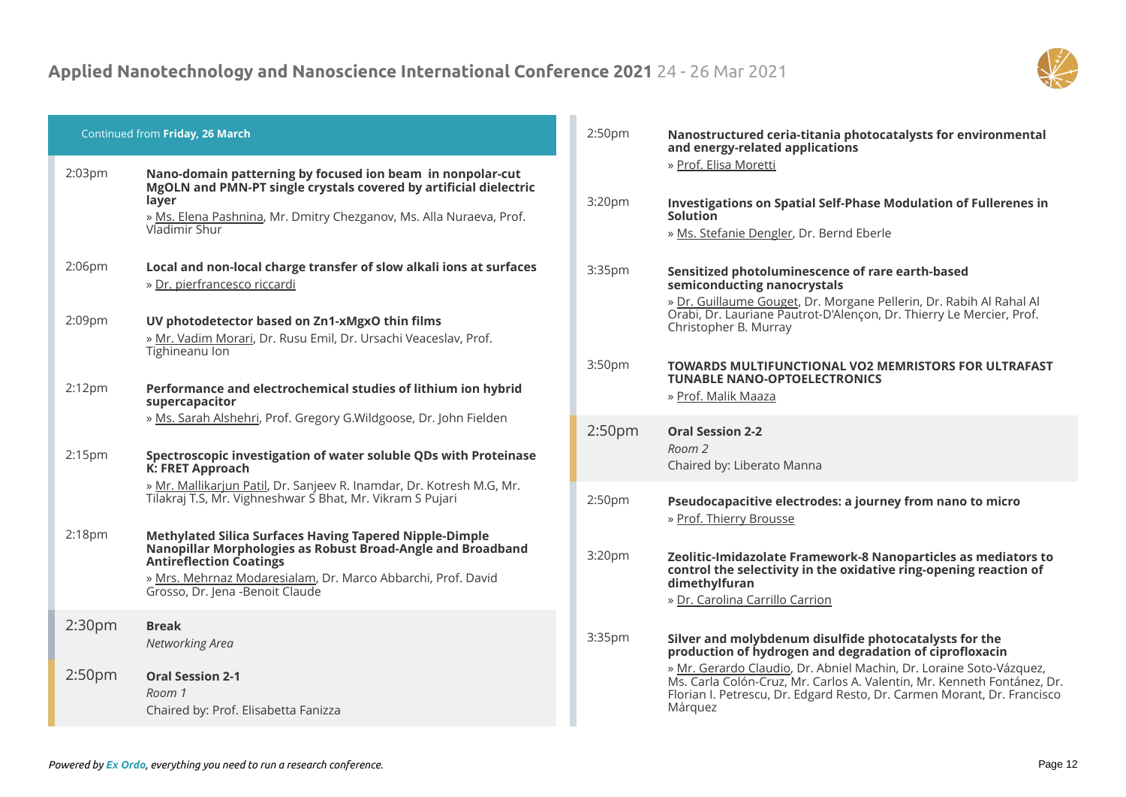

| Continued from Friday, 26 March |                                                                                                                                                                                                                                                             | 2:50pm             | Nanostructured ceria-titania photocatalysts for environmental<br>and energy-related applications                                                                                                                                     |
|---------------------------------|-------------------------------------------------------------------------------------------------------------------------------------------------------------------------------------------------------------------------------------------------------------|--------------------|--------------------------------------------------------------------------------------------------------------------------------------------------------------------------------------------------------------------------------------|
| 2:03 <sub>pm</sub>              | Nano-domain patterning by focused ion beam in nonpolar-cut<br>MgOLN and PMN-PT single crystals covered by artificial dielectric<br>layer<br>» Ms. Elena Pashnina, Mr. Dmitry Chezganov, Ms. Alla Nuraeva, Prof.<br>Vladimir Shur                            | 3:20pm             | » Prof. Elisa Moretti<br>Investigations on Spatial Self-Phase Modulation of Fullerenes in<br><b>Solution</b><br>» Ms. Stefanie Dengler, Dr. Bernd Eberle                                                                             |
| 2:06 <sub>pm</sub>              | Local and non-local charge transfer of slow alkali ions at surfaces<br>» Dr. pierfrancesco riccardi                                                                                                                                                         | 3:35pm             | Sensitized photoluminescence of rare earth-based<br>semiconducting nanocrystals                                                                                                                                                      |
| 2:09pm                          | UV photodetector based on Zn1-xMgxO thin films<br>» Mr. Vadim Morari, Dr. Rusu Emil, Dr. Ursachi Veaceslav, Prof.<br>Tighineanu Ion                                                                                                                         |                    | » Dr. Guillaume Gouget, Dr. Morgane Pellerin, Dr. Rabih Al Rahal Al<br>Orabi, Dr. Lauriane Pautrot-D'Alençon, Dr. Thierry Le Mercier, Prof.<br>Christopher B. Murray                                                                 |
| $2:12$ pm                       | Performance and electrochemical studies of lithium ion hybrid<br>supercapacitor                                                                                                                                                                             | 3:50pm             | <b>TOWARDS MULTIFUNCTIONAL VO2 MEMRISTORS FOR ULTRAFAST</b><br><b>TUNABLE NANO-OPTOELECTRONICS</b><br>» Prof. Malik Maaza                                                                                                            |
| 2:15 <sub>pm</sub>              | » Ms. Sarah Alshehri, Prof. Gregory G.Wildgoose, Dr. John Fielden<br>Spectroscopic investigation of water soluble QDs with Proteinase                                                                                                                       | 2:50 <sub>pm</sub> | <b>Oral Session 2-2</b><br>Room 2                                                                                                                                                                                                    |
|                                 | K: FRET Approach                                                                                                                                                                                                                                            |                    | Chaired by: Liberato Manna                                                                                                                                                                                                           |
|                                 | » Mr. Mallikarjun Patil, Dr. Sanjeev R. Inamdar, Dr. Kotresh M.G, Mr.<br>Tilakraj T.S, Mr. Vighneshwar S Bhat, Mr. Vikram S Pujari                                                                                                                          | 2:50 <sub>pm</sub> | Pseudocapacitive electrodes: a journey from nano to micro<br>» Prof. Thierry Brousse                                                                                                                                                 |
| 2:18 <sub>pm</sub>              | Methylated Silica Surfaces Having Tapered Nipple-Dimple<br>Nanopillar Morphologies as Robust Broad-Angle and Broadband<br><b>Antireflection Coatings</b><br>» Mrs. Mehrnaz Modaresialam, Dr. Marco Abbarchi, Prof. David<br>Grosso, Dr. Jena -Benoit Claude | 3:20pm             | Zeolitic-Imidazolate Framework-8 Nanoparticles as mediators to<br>control the selectivity in the oxidative ring-opening reaction of<br>dimethylfuran<br>» Dr. Carolina Carrillo Carrion                                              |
| 2:30 <sub>pm</sub>              | <b>Break</b><br>Networking Area                                                                                                                                                                                                                             | 3:35pm             | Silver and molybdenum disulfide photocatalysts for the<br>production of hydrogen and degradation of ciprofloxacin                                                                                                                    |
| 2:50 <sub>pm</sub>              | <b>Oral Session 2-1</b><br>Room 1<br>Chaired by: Prof. Elisabetta Fanizza                                                                                                                                                                                   |                    | » Mr. Gerardo Claudio, Dr. Abniel Machin, Dr. Loraine Soto-Vázquez,<br>Ms. Carla Colón-Cruz, Mr. Carlos A. Valentin, Mr. Kenneth Fontánez, Dr.<br>Florian I. Petrescu, Dr. Edgard Resto, Dr. Carmen Morant, Dr. Francisco<br>Márquez |